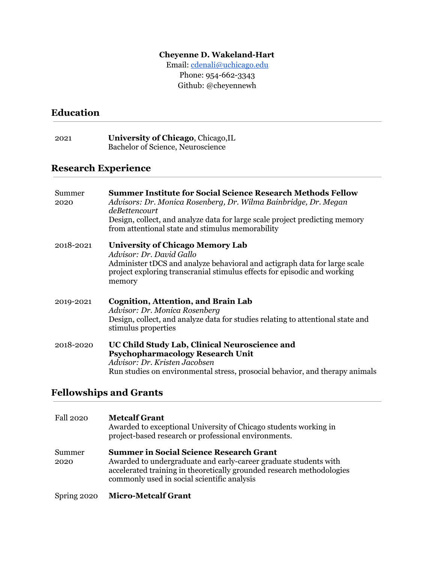#### **Cheyenne D. Wakeland-Hart**

Email: [cdenali@uchicago.edu](mailto:cdenali@uchicago.edu) Phone: 954-662-3343 Github: @cheyennewh

#### **Education**

2021 **University of Chicago**, Chicago,IL Bachelor of Science, Neuroscience

#### **Research Experience**

| Summer<br>2020 | <b>Summer Institute for Social Science Research Methods Fellow</b><br>Advisors: Dr. Monica Rosenberg, Dr. Wilma Bainbridge, Dr. Megan<br>deBettencourt<br>Design, collect, and analyze data for large scale project predicting memory<br>from attentional state and stimulus memorability |
|----------------|-------------------------------------------------------------------------------------------------------------------------------------------------------------------------------------------------------------------------------------------------------------------------------------------|
| 2018-2021      | University of Chicago Memory Lab<br>Advisor: Dr. David Gallo<br>Administer tDCS and analyze behavioral and actigraph data for large scale<br>project exploring transcranial stimulus effects for episodic and working<br>memory                                                           |
| 2019-2021      | <b>Cognition, Attention, and Brain Lab</b><br>Advisor: Dr. Monica Rosenberg<br>Design, collect, and analyze data for studies relating to attentional state and<br>stimulus properties                                                                                                     |
| 2018-2020      | UC Child Study Lab, Clinical Neuroscience and<br><b>Psychopharmacology Research Unit</b><br>Advisor: Dr. Kristen Jacobsen<br>Run studies on environmental stress, prosocial behavior, and therapy animals                                                                                 |

# **Fellowships and Grants**

| <b>Fall 2020</b> | <b>Metcalf Grant</b><br>Awarded to exceptional University of Chicago students working in<br>project-based research or professional environments.                                                                                           |
|------------------|--------------------------------------------------------------------------------------------------------------------------------------------------------------------------------------------------------------------------------------------|
| Summer<br>2020   | <b>Summer in Social Science Research Grant</b><br>Awarded to undergraduate and early-career graduate students with<br>accelerated training in theoretically grounded research methodologies<br>commonly used in social scientific analysis |
| Spring 2020      | <b>Micro-Metcalf Grant</b>                                                                                                                                                                                                                 |